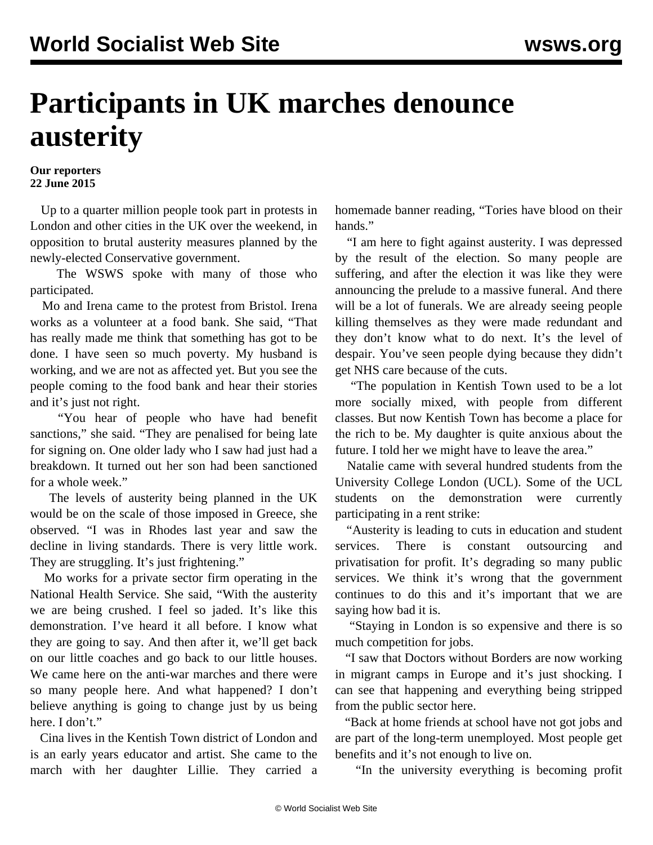## **Participants in UK marches denounce austerity**

## **Our reporters 22 June 2015**

 Up to a quarter million people took part in protests in London and other cities in the UK over the weekend, in opposition to brutal austerity measures planned by the newly-elected Conservative government.

 The WSWS spoke with many of those who participated.

 Mo and Irena came to the protest from Bristol. Irena works as a volunteer at a food bank. She said, "That has really made me think that something has got to be done. I have seen so much poverty. My husband is working, and we are not as affected yet. But you see the people coming to the food bank and hear their stories and it's just not right.

 "You hear of people who have had benefit sanctions," she said. "They are penalised for being late for signing on. One older lady who I saw had just had a breakdown. It turned out her son had been sanctioned for a whole week."

 The levels of austerity being planned in the UK would be on the scale of those imposed in Greece, she observed. "I was in Rhodes last year and saw the decline in living standards. There is very little work. They are struggling. It's just frightening."

 Mo works for a private sector firm operating in the National Health Service. She said, "With the austerity we are being crushed. I feel so jaded. It's like this demonstration. I've heard it all before. I know what they are going to say. And then after it, we'll get back on our little coaches and go back to our little houses. We came here on the anti-war marches and there were so many people here. And what happened? I don't believe anything is going to change just by us being here. I don't."

 Cina lives in the Kentish Town district of London and is an early years educator and artist. She came to the march with her daughter Lillie. They carried a homemade banner reading, "Tories have blood on their hands."

 "I am here to fight against austerity. I was depressed by the result of the election. So many people are suffering, and after the election it was like they were announcing the prelude to a massive funeral. And there will be a lot of funerals. We are already seeing people killing themselves as they were made redundant and they don't know what to do next. It's the level of despair. You've seen people dying because they didn't get NHS care because of the cuts.

 "The population in Kentish Town used to be a lot more socially mixed, with people from different classes. But now Kentish Town has become a place for the rich to be. My daughter is quite anxious about the future. I told her we might have to leave the area."

 Natalie came with several hundred students from the University College London (UCL). Some of the UCL students on the demonstration were currently participating in a rent strike:

 "Austerity is leading to cuts in education and student services. There is constant outsourcing and privatisation for profit. It's degrading so many public services. We think it's wrong that the government continues to do this and it's important that we are saying how bad it is.

 "Staying in London is so expensive and there is so much competition for jobs.

 "I saw that Doctors without Borders are now working in migrant camps in Europe and it's just shocking. I can see that happening and everything being stripped from the public sector here.

 "Back at home friends at school have not got jobs and are part of the long-term unemployed. Most people get benefits and it's not enough to live on.

"In the university everything is becoming profit